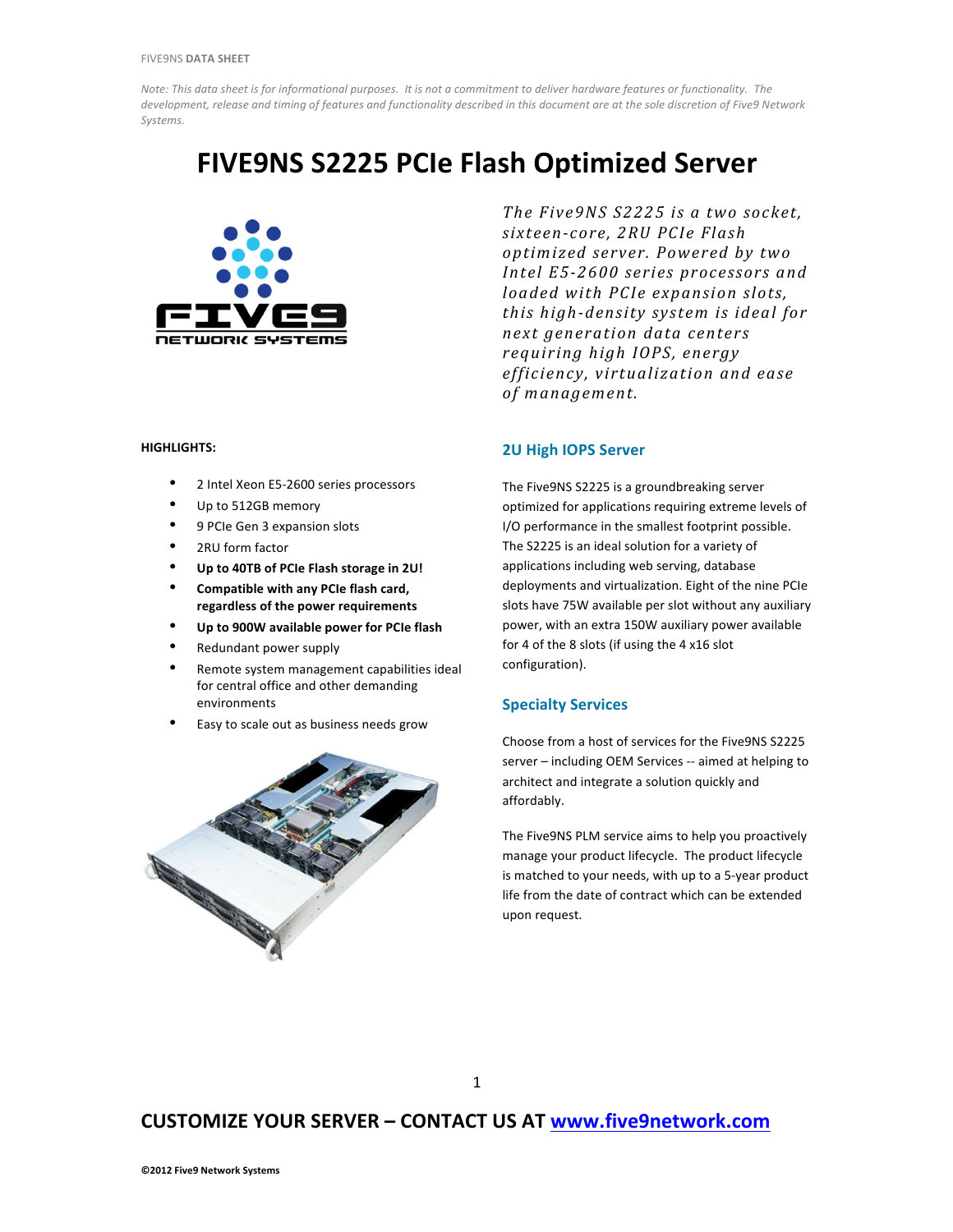*Note:* This data sheet is for informational purposes. It is not a commitment to deliver hardware features or functionality. The development, release and timing of features and functionality described in this document are at the sole discretion of Five9 Network *Systems.* 

# **FIVE9NS S2225 PCIe Flash Optimized Server**



### **HIGHLIGHTS:**

- 2 Intel Xeon E5-2600 series processors
- Up to 512GB memory
- 9 PCIe Gen 3 expansion slots
- 2RU form factor
- Up to 40TB of PCIe Flash storage in 2U!
- Compatible with any PCIe flash card, regardless of the power requirements
- Up to 900W available power for PCIe flash
- Redundant power supply
- Remote system management capabilities ideal for central office and other demanding environments
- Easy to scale out as business needs grow



The Five9NS S2225 is a two socket, *sixteen-core, 2RU PCIe Flash optimized server. Powered by two*  Intel E5-2600 series processors and *loaded* with PCIe expansion slots, *this high-density system is ideal for next generation data centers requiring high IOPS, energy efficiency, virtualization and ease*  of management.

### **2U High IOPS Server**

The Five9NS S2225 is a groundbreaking server optimized for applications requiring extreme levels of I/O performance in the smallest footprint possible. The S2225 is an ideal solution for a variety of applications including web serving, database deployments and virtualization. Eight of the nine PCIe slots have 75W available per slot without any auxiliary power, with an extra 150W auxiliary power available for 4 of the 8 slots (if using the  $4 \times 16$  slot configuration).

### **Specialty Services**

Choose from a host of services for the Five9NS S2225 server - including OEM Services -- aimed at helping to architect and integrate a solution quickly and affordably. 

The Five9NS PLM service aims to help you proactively manage your product lifecycle. The product lifecycle is matched to your needs, with up to a 5-year product life from the date of contract which can be extended upon request.

## **CUSTOMIZE YOUR SERVER - CONTACT US AT www.five9network.com**